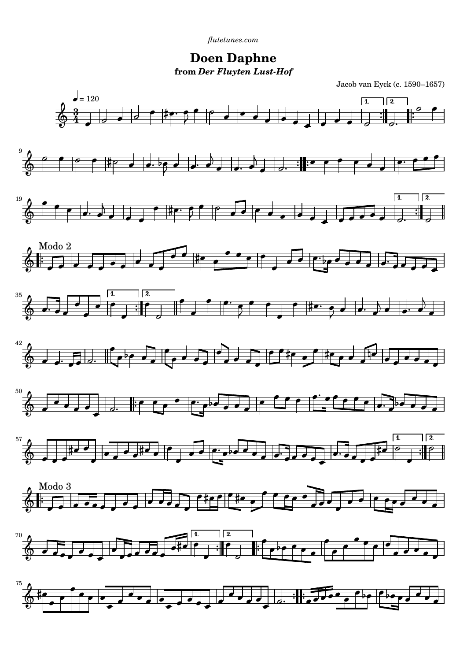**Doen Daphne from** *Der Fluyten Lust-Hof*

Jacob van Eyck (c. 1590–1657)